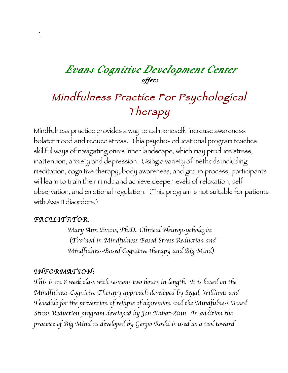## *Evans Cognitive Development Center offers*

## Mindfulness Practice For Psychological Therapy

Mindfulness practice provides a way to calm oneself, increase awareness, bolster mood and reduce stress. This psycho- educational program teaches skillful ways of navigating one's inner landscape, which may produce stress, inattention, anxiety and depression. Using a variety of methods including meditation, cognitive therapy, body awareness, and group process, participants will learn to train their minds and achieve deeper levels of relaxation, self observation, and emotional regulation. (This program is not suitable for patients with Axis II disorders.)

## *FACILITATOR:*

*Mary Ann Evans, Ph.D., Clinical Neuropsychologist* (*Trained in Mindfulness-Based Stress Reduction and Mindfulness-Based Cognitive therapy and Big Mind*)

## *INFORMATION:*

*This is an 8 week class with sessions two hours in length. It is based on the Mindfulness-Cognitive Therapy approach developed by Segal, Williams and Teasdale for the prevention of relapse of depression and the Mindfulness Based Stress Reduction program developed by Jon Kabat-Zinn. In addition the practice of Big Mind as developed by Genpo Roshi is used as a tool toward*